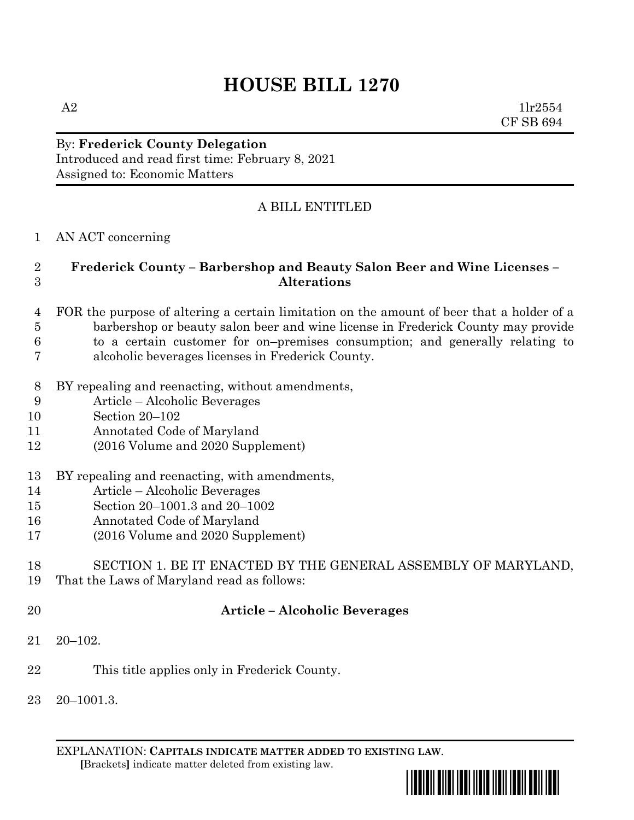## **HOUSE BILL 1270**

 $A2$   $1\text{lr}2554$ CF SB 694

#### By: **Frederick County Delegation** Introduced and read first time: February 8, 2021 Assigned to: Economic Matters

### A BILL ENTITLED

#### AN ACT concerning

#### **Frederick County – Barbershop and Beauty Salon Beer and Wine Licenses – Alterations**

- FOR the purpose of altering a certain limitation on the amount of beer that a holder of a barbershop or beauty salon beer and wine license in Frederick County may provide to a certain customer for on–premises consumption; and generally relating to
- alcoholic beverages licenses in Frederick County.
- BY repealing and reenacting, without amendments,
- Article Alcoholic Beverages
- Section 20–102
- Annotated Code of Maryland
- (2016 Volume and 2020 Supplement)
- BY repealing and reenacting, with amendments,
- Article Alcoholic Beverages
- Section 20–1001.3 and 20–1002
- Annotated Code of Maryland
- (2016 Volume and 2020 Supplement)

# SECTION 1. BE IT ENACTED BY THE GENERAL ASSEMBLY OF MARYLAND,

- That the Laws of Maryland read as follows:
- 

#### **Article – Alcoholic Beverages**

- 20–102.
- This title applies only in Frederick County.
- 20–1001.3.

EXPLANATION: **CAPITALS INDICATE MATTER ADDED TO EXISTING LAW**.  **[**Brackets**]** indicate matter deleted from existing law.

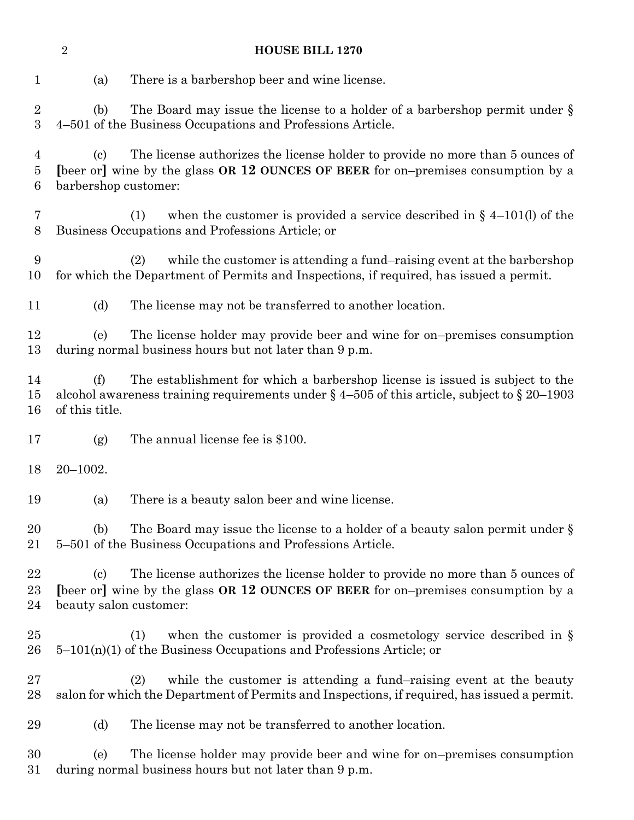| $\sqrt{2}$<br><b>HOUSE BILL 1270</b> |                                                      |                                                                                                                                                                                   |
|--------------------------------------|------------------------------------------------------|-----------------------------------------------------------------------------------------------------------------------------------------------------------------------------------|
| $\mathbf 1$                          | (a)                                                  | There is a barbershop beer and wine license.                                                                                                                                      |
| $\overline{2}$<br>$\boldsymbol{3}$   | (b)                                                  | The Board may issue the license to a holder of a barbershop permit under $\S$<br>4-501 of the Business Occupations and Professions Article.                                       |
| $\overline{4}$<br>5<br>6             | $\left( \mathrm{c}\right)$<br>barbershop customer:   | The license authorizes the license holder to provide no more than 5 ounces of<br>[beer or] wine by the glass OR 12 OUNCES OF BEER for on-premises consumption by a                |
| 7<br>$8\,$                           |                                                      | when the customer is provided a service described in $\S$ 4-101(l) of the<br>(1)<br>Business Occupations and Professions Article; or                                              |
| 9<br>10                              |                                                      | while the customer is attending a fund-raising event at the barbershop<br>(2)<br>for which the Department of Permits and Inspections, if required, has issued a permit.           |
| 11                                   | (d)                                                  | The license may not be transferred to another location.                                                                                                                           |
| 12<br>13                             | (e)                                                  | The license holder may provide beer and wine for on-premises consumption<br>during normal business hours but not later than 9 p.m.                                                |
| 14<br>15<br>16                       | (f)<br>of this title.                                | The establishment for which a barbershop license is issued is subject to the<br>alcohol awareness training requirements under $\S$ 4-505 of this article, subject to $\S$ 20-1903 |
| 17                                   | (g)                                                  | The annual license fee is \$100.                                                                                                                                                  |
| 18                                   | $20 - 1002.$                                         |                                                                                                                                                                                   |
| 19                                   | (a)                                                  | There is a beauty salon beer and wine license.                                                                                                                                    |
| 20<br>21                             | (b)                                                  | The Board may issue the license to a holder of a beauty salon permit under $\S$<br>5–501 of the Business Occupations and Professions Article.                                     |
| 22<br>23<br>24                       | $\left( \mathrm{c}\right)$<br>beauty salon customer: | The license authorizes the license holder to provide no more than 5 ounces of<br>[beer or] wine by the glass OR 12 OUNCES OF BEER for on-premises consumption by a                |
| 25<br>26                             |                                                      | when the customer is provided a cosmetology service described in $\S$<br>(1)<br>$5-101(n)(1)$ of the Business Occupations and Professions Article; or                             |
| 27<br>28                             |                                                      | while the customer is attending a fund-raising event at the beauty<br>(2)<br>salon for which the Department of Permits and Inspections, if required, has issued a permit.         |
| 29                                   | (d)                                                  | The license may not be transferred to another location.                                                                                                                           |
| 30<br>31                             | (e)                                                  | The license holder may provide beer and wine for on-premises consumption<br>during normal business hours but not later than 9 p.m.                                                |